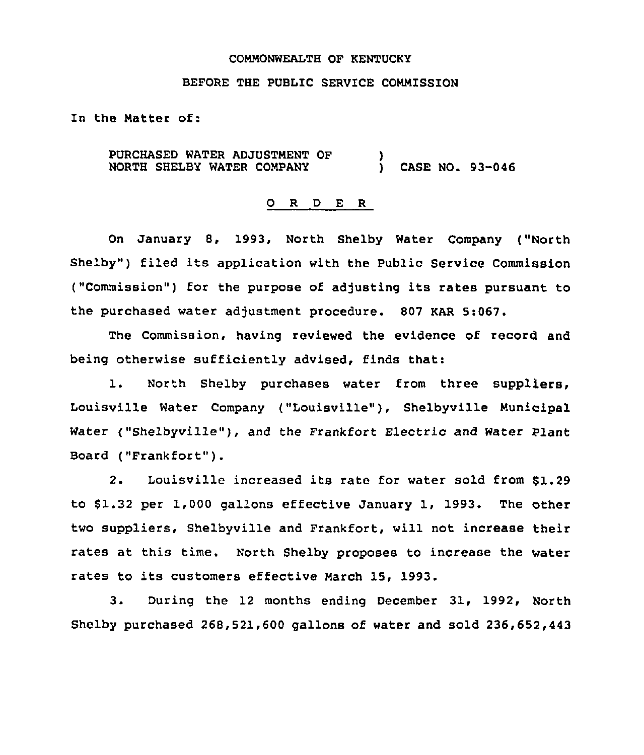#### COMMONWEALTH OF KENTUCKY

### BEFORE THE PUBLIC SERVICE COMMISSION

In the Matter of:

PURCHASED WATER ADJUSTMENT OF NORTH SHELBY WATER COMPANY ) ) CASE NO. 93-046

#### 0 R <sup>D</sup> E R

On January 8, 1993, North Shelby Water Company ("North Shelby") filed its application with the Public Service Commission ("Commission") for the purpose of adjusting its rates pursuant to the purchased water adjustment procedure. 807 KAR 5:067.

The Commission, having reviewed the evidence of record and being otherwise sufficiently advised, finds that:

1. North Shelby purchases water from three suppliers, Louisville Water Company ("Louisville"), Shelbyville Municipal Water ("Shelbyville"), and the Frankfort Electric and Water Plant Board ("Frankfort" ).

2. Louisville increased its rate for water sold from \$1.29 to \$1.32 per 1,000 gallons effective January 1, 1993. The other two suppliers, Shelbyville and Frankfort, will not increase their rates at this time. North Shelby proposes to increase the water rates to its customers effective March 15, 1993.

3. During the 12 months ending December 31, 1992, North Shelby purchased 268,521,600 gallons of water and sold 236,652,443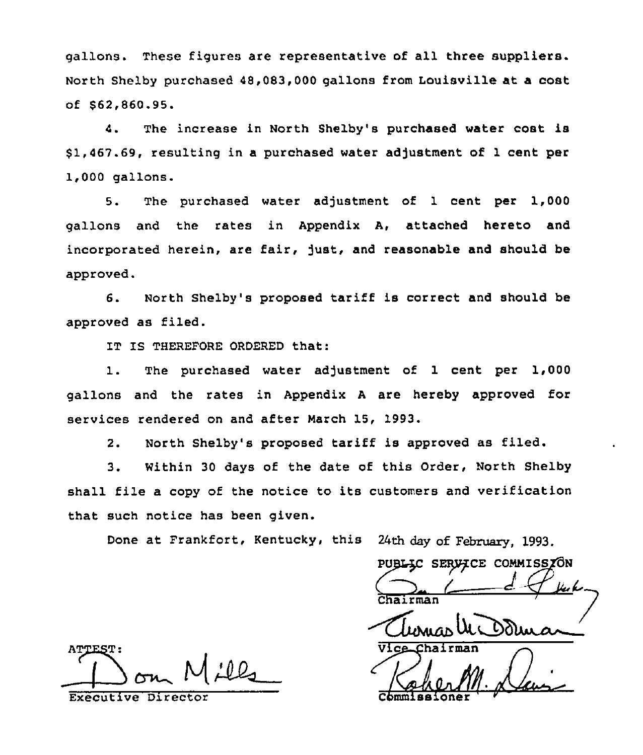gallons. These figures are representative of all three suppliers. North Shelby purchased 48,083,000 gallons from Louisville at a cost of \$ 62,860.95.

4. The increase in North Shelby's purchased water cost is \$1,467.69, resulting in a purchased water adjustment of 1 cent per 1,000 gallons.

5. The purchased water adjustment of 1 cent per 1,000 gallons and the rates in Appendix A, attached hereto and incorporated herein, are fair, just, and reasonable and should be approved.

6. North Shelby's proposed tariff is correct and should be approved as filed.

1T IS THEREFORE ORDERED that:

1. The purchased water adjustment of <sup>1</sup> cent per 1,000 gallons and the rates in Appendix <sup>A</sup> are hereby approved for services rendered on and after March 15, 1993.

2. North Shelby's proposed tariff is approved as filed.

3. Within <sup>30</sup> days of the date of this Order, North Shelby shall file a copy of the notice to its customers and verification that such notice has been given.

Done at Frankfort, Kentucky, this 24th day of February, 1993.

PUBLIC SERVICE COMMISSION

Chairman<br>Urbunco UL Dd Vice Chairman

KaherM commissioner '

**ATTEST:**  $M$ ill

Executive Director